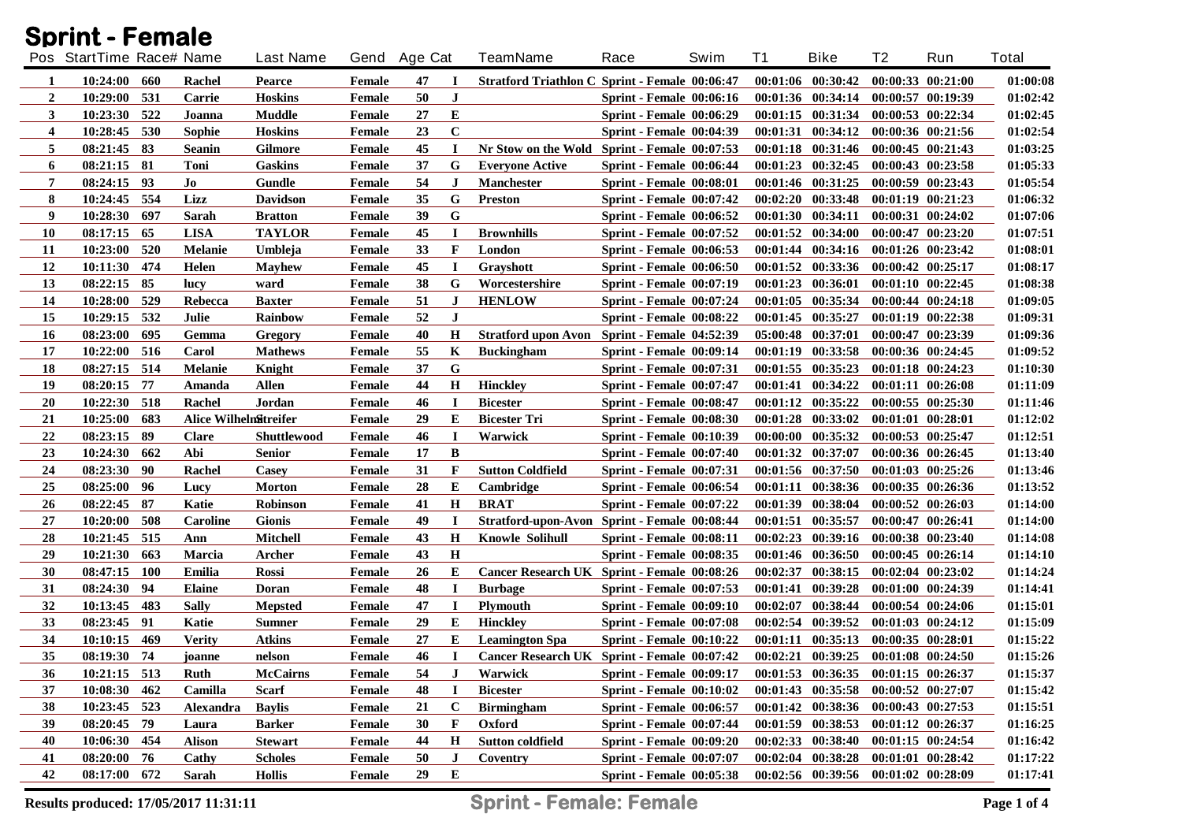|              | <b>Sprint - Female</b>   |            |                        |                  |               |              |             |                                                                                   |                                 |      |          |                                             |                       |                       |              |
|--------------|--------------------------|------------|------------------------|------------------|---------------|--------------|-------------|-----------------------------------------------------------------------------------|---------------------------------|------|----------|---------------------------------------------|-----------------------|-----------------------|--------------|
|              | Pos StartTime Race# Name |            |                        | <b>Last Name</b> |               | Gend Age Cat |             | <b>TeamName</b>                                                                   | Race                            | Swim | T1       | <b>Bike</b>                                 | T2                    | Run                   | <b>Total</b> |
| 1            | 10:24:00 660             |            | Rachel                 | <b>Pearce</b>    | Female        | 47           | -1          | <b>Stratford Triathlon C Sprint - Female 00:06:47</b>                             |                                 |      |          | $00:01:06$ $00:30:42$                       |                       | $00:00:33$ $00:21:00$ | 01:00:08     |
| $\mathbf{2}$ | 10:29:00 531             |            | Carrie                 | <b>Hoskins</b>   | Female        | 50           | J           |                                                                                   | <b>Sprint - Female 00:06:16</b> |      |          | $00:01:36$ $00:34:14$                       | $00:00:57$ $00:19:39$ |                       | 01:02:42     |
| 3            | 10:23:30 522             |            | Joanna                 | Muddle           | Female        | 27           | E           |                                                                                   | <b>Sprint - Female 00:06:29</b> |      |          | $00:01:15$ $00:31:34$                       | $00:00:53$ $00:22:34$ |                       | 01:02:45     |
| 4            | 10:28:45                 | 530        | Sophie                 | <b>Hoskins</b>   | Female        | 23           | $\bf C$     |                                                                                   | <b>Sprint - Female 00:04:39</b> |      |          | $00:01:31$ $00:34:12$                       | 00:00:36 00:21:56     |                       | 01:02:54     |
| 5            | 08:21:45                 | -83        | <b>Seanin</b>          | <b>Gilmore</b>   | Female        | 45           | $\bf{I}$    | Nr Stow on the Wold Sprint - Female 00:07:53                                      |                                 |      |          | $00:01:18$ $00:31:46$                       | 00:00:45 00:21:43     |                       | 01:03:25     |
| 6            | 08:21:15                 | - 81       | Toni                   | <b>Gaskins</b>   | Female        | 37           | G           | <b>Everyone Active</b>                                                            | <b>Sprint - Female 00:06:44</b> |      | 00:01:23 | 00:32:45                                    | $00:00:43$ $00:23:58$ |                       | 01:05:33     |
| 7            | 08:24:15 93              |            | Jo                     | Gundle           | Female        | 54           | J           | Manchester                                                                        | Sprint - Female 00:08:01        |      |          | $00:01:46$ $00:31:25$                       | 00:00:59 00:23:43     |                       | 01:05:54     |
| 8            | 10:24:45 554             |            | Lizz                   | <b>Davidson</b>  | Female        | 35           | G           | Preston                                                                           | <b>Sprint - Female 00:07:42</b> |      |          | $00:02:20$ $00:33:48$                       | $00:01:19$ $00:21:23$ |                       | 01:06:32     |
| 9            | 10:28:30                 | -697       | Sarah                  | <b>Bratton</b>   | Female        | 39           | G           |                                                                                   | Sprint - Female $00:06:52$      |      |          | $00:01:30$ $00:34:11$                       | 00:00:31 00:24:02     |                       | 01:07:06     |
| <b>10</b>    | 08:17:15                 | 65         | <b>LISA</b>            | <b>TAYLOR</b>    | Female        | 45           | I           | <b>Brownhills</b>                                                                 | <b>Sprint - Female 00:07:52</b> |      |          | $00:01:52$ $00:34:00$                       | $00:00:47$ $00:23:20$ |                       | 01:07:51     |
| 11           | 10:23:00                 | 520        | <b>Melanie</b>         | Umbleja          | Female        | 33           | F           | London                                                                            | <b>Sprint - Female 00:06:53</b> |      |          | $00:01:44$ $00:34:16$                       | $00:01:26$ $00:23:42$ |                       | 01:08:01     |
| 12           | 10:11:30 474             |            | Helen                  | <b>Mayhew</b>    | Female        | 45           | <b>I</b>    | Grayshott                                                                         | <b>Sprint - Female 00:06:50</b> |      |          | $00:01:52$ $00:33:36$                       | $00:00:42$ $00:25:17$ |                       | 01:08:17     |
| 13           | 08:22:15                 | 85         | lucy                   | ward             | Female        | 38           | G           | Worcestershire                                                                    | <b>Sprint - Female 00:07:19</b> |      | 00:01:23 | 00:36:01                                    | 00:01:10 00:22:45     |                       | 01:08:38     |
| 14           | 10:28:00                 | 529        | Rebecca                | <b>Baxter</b>    | Female        | 51           | J           | <b>HENLOW</b>                                                                     | <b>Sprint - Female 00:07:24</b> |      | 00:01:05 | 00:35:34                                    | 00:00:44 00:24:18     |                       | 01:09:05     |
| 15           | 10:29:15                 | 532        | Julie                  | <b>Rainbow</b>   | Female        | 52           | $\bf J$     |                                                                                   | Sprint - Female 00:08:22        |      | 00:01:45 | 00:35:27                                    | $00:01:19$ $00:22:38$ |                       | 01:09:31     |
| 16           | 08:23:00                 | 695        | Gemma                  | Gregory          | Female        | 40           | $\bf H$     | Stratford upon Avon Sprint - Female 04:52:39                                      |                                 |      |          | 05:00:48 00:37:01                           | 00:00:47 00:23:39     |                       | 01:09:36     |
| 17           | 10:22:00 516             |            | Carol                  | <b>Mathews</b>   | Female        | 55           | K           | <b>Buckingham</b>                                                                 | <b>Sprint - Female 00:09:14</b> |      | 00:01:19 | 00:33:58                                    | 00:00:36 00:24:45     |                       | 01:09:52     |
| 18           | 08:27:15 514             |            | <b>Melanie</b>         | Knight           | Female        | 37           | G           |                                                                                   | <b>Sprint - Female 00:07:31</b> |      |          | $00:01:55$ $00:35:23$                       | $00:01:18$ $00:24:23$ |                       | 01:10:30     |
| 19           | 08:20:15                 | 77         | Amanda                 | Allen            | Female        | 44           | $\bf H$     | <b>Hinckley</b>                                                                   | <b>Sprint - Female 00:07:47</b> |      | 00:01:41 | 00:34:22                                    | $00:01:11$ $00:26:08$ |                       | 01:11:09     |
| 20           | 10:22:30 518             |            | Rachel                 | Jordan           | Female        | 46           | $\bf{I}$    | <b>Bicester</b>                                                                   | <b>Sprint - Female 00:08:47</b> |      |          | $00:01:12$ $00:35:22$                       |                       | $00:00:55$ $00:25:30$ | 01:11:46     |
| 21           | 10:25:00                 | 683        | Alice WilhelnSitreifer |                  | Female        | 29           | E           | <b>Bicester Tri</b>                                                               | <b>Sprint - Female 00:08:30</b> |      | 00:01:28 | 00:33:02                                    | $00:01:01$ $00:28:01$ |                       | 01:12:02     |
| 22           | 08:23:15                 | -89        | <b>Clare</b>           | Shuttlewood      | Female        | 46           | $\bf{I}$    | Warwick                                                                           | <b>Sprint - Female 00:10:39</b> |      |          | $00:00:00$ $00:35:32$                       | $00:00:53$ $00:25:47$ |                       | 01:12:51     |
| 23           | 10:24:30 662             |            | Abi                    | <b>Senior</b>    | Female        | 17           | B           |                                                                                   | <b>Sprint - Female 00:07:40</b> |      |          | $00:01:32$ $00:37:07$                       | $00:00:36$ $00:26:45$ |                       | 01:13:40     |
| 24           | 08:23:30                 | 90         | Rachel                 | Casey            | Female        | 31           | F           | <b>Sutton Coldfield</b>                                                           | <b>Sprint - Female 00:07:31</b> |      |          | $00:01:56$ $00:37:50$                       | $00:01:03$ $00:25:26$ |                       | 01:13:46     |
| 25           | 08:25:00                 | 96         | Lucy                   | <b>Morton</b>    | Female        | 28           | E           | Cambridge                                                                         | <b>Sprint - Female 00:06:54</b> |      | 00:01:11 | 00:38:36                                    | $00:00:35$ $00:26:36$ |                       | 01:13:52     |
| 26           | 08:22:45 87              |            | Katie                  | <b>Robinson</b>  | Female        | 41           | Н           | <b>BRAT</b>                                                                       | <b>Sprint - Female 00:07:22</b> |      |          | 00:01:39 00:38:04                           | $00:00:52$ $00:26:03$ |                       | 01:14:00     |
| 27           | 10:20:00                 | -508       | <b>Caroline</b>        | <b>Gionis</b>    | Female        | 49           | $\bf{I}$    | Stratford-upon-Avon Sprint - Female 00:08:44                                      |                                 |      | 00:01:51 | 00:35:57                                    | $00:00:47$ $00:26:41$ |                       | 01:14:00     |
| 28           | 10:21:45                 | 515        | Ann                    | <b>Mitchell</b>  | Female        | 43           | H           | <b>Knowle Solihull</b>                                                            | <b>Sprint - Female 00:08:11</b> |      | 00:02:23 | 00:39:16                                    | $00:00:38$ $00:23:40$ |                       | 01:14:08     |
| 29           | 10:21:30                 | 663        | Marcia                 | Archer           | Female        | 43           | $\mathbf H$ |                                                                                   | <b>Sprint - Female 00:08:35</b> |      |          | $00:01:46$ $00:36:50$                       | $00:00:45$ $00:26:14$ |                       | 01:14:10     |
| 30           | 08:47:15                 | <b>100</b> | Emilia                 | <b>Rossi</b>     | Female        | 26           | E           | Cancer Research UK Sprint - Female 00:08:26                                       |                                 |      | 00:02:37 | 00:38:15                                    | $00:02:04$ $00:23:02$ |                       | 01:14:24     |
| 31           | 08:24:30                 | 94         | <b>Elaine</b>          | Doran            | Female        | 48           | $\bf{I}$    | <b>Burbage</b>                                                                    | <b>Sprint - Female 00:07:53</b> |      | 00:01:41 | 00:39:28                                    | 00:01:00 00:24:39     |                       | 01:14:41     |
| 32           | 10:13:45                 | 483        | <b>Sally</b>           | <b>Mepsted</b>   | Female        | 47           | $\bf{I}$    | <b>Plymouth</b>                                                                   | <b>Sprint - Female 00:09:10</b> |      | 00:02:07 | 00:38:44                                    | $00:00:54$ $00:24:06$ |                       | 01:15:01     |
| 33           | 08:23:45                 | 91         | Katie                  | <b>Sumner</b>    | Female        | 29           | Е           | Hinckley                                                                          | <b>Sprint - Female 00:07:08</b> |      |          | $00:02:54$ $00:39:52$                       | $00:01:03$ $00:24:12$ |                       | 01:15:09     |
| 34           | 10:10:15 469             |            | <b>Verity</b>          | <b>Atkins</b>    | Female        | 27           |             | <b>E</b> Leamington Spa                                                           | Sprint - Female $00:10:22$      |      |          | $00:01:11$ $00:35:13$ $00:00:35$ $00:28:01$ |                       |                       | 01:15:22     |
| 35           | 08:19:30 74              |            | joanne                 | nelson           | Female        | 46           |             | I Cancer Research UK Sprint - Female 00:07:42 00:02:21 00:39:25 00:01:08 00:24:50 |                                 |      |          |                                             |                       |                       | 01:15:26     |
| 36           | $10:21:15$ 513           |            | Ruth                   | <b>McCairns</b>  | Female        | 54           | J           | Warwick                                                                           | <b>Sprint - Female 00:09:17</b> |      |          | $00:01:53$ $00:36:35$ $00:01:15$ $00:26:37$ |                       |                       | 01:15:37     |
| 37           | 10:08:30 462             |            | Camilla                | <b>Scarf</b>     | <b>Female</b> | 48           | -1          | <b>Bicester</b>                                                                   | Sprint - Female $00:10:02$      |      |          | 00:01:43 00:35:58 00:00:52 00:27:07         |                       |                       | 01:15:42     |
| 38           | 10:23:45 523             |            | <b>Alexandra</b>       | <b>Baylis</b>    | Female        | 21           | $\mathbf C$ | <b>Birmingham</b>                                                                 | <b>Sprint - Female 00:06:57</b> |      |          | 00:01:42 00:38:36 00:00:43 00:27:53         |                       |                       | 01:15:51     |
| 39           | 08:20:45 79              |            | Laura                  | <b>Barker</b>    | Female        | 30           | F           | Oxford                                                                            | <b>Sprint - Female 00:07:44</b> |      |          | 00:01:59 00:38:53 00:01:12 00:26:37         |                       |                       | 01:16:25     |
| 40           | 10:06:30 454             |            | <b>Alison</b>          | <b>Stewart</b>   | Female        | 44           | H           | <b>Sutton coldfield</b>                                                           | <b>Sprint - Female 00:09:20</b> |      |          | 00:02:33 00:38:40 00:01:15 00:24:54         |                       |                       | 01:16:42     |
| 41           | 08:20:00 76              |            | Cathy                  | <b>Scholes</b>   | Female        | 50           | J           | Coventry                                                                          | <b>Sprint - Female 00:07:07</b> |      |          | $00:02:04$ $00:38:28$ $00:01:01$ $00:28:42$ |                       |                       | 01:17:22     |
| 42           | 08:17:00 672             |            | Sarah                  | <b>Hollis</b>    | Female        | 29           | E           |                                                                                   | <b>Sprint - Female 00:05:38</b> |      |          | 00:02:56 00:39:56 00:01:02 00:28:09         |                       |                       | 01:17:41     |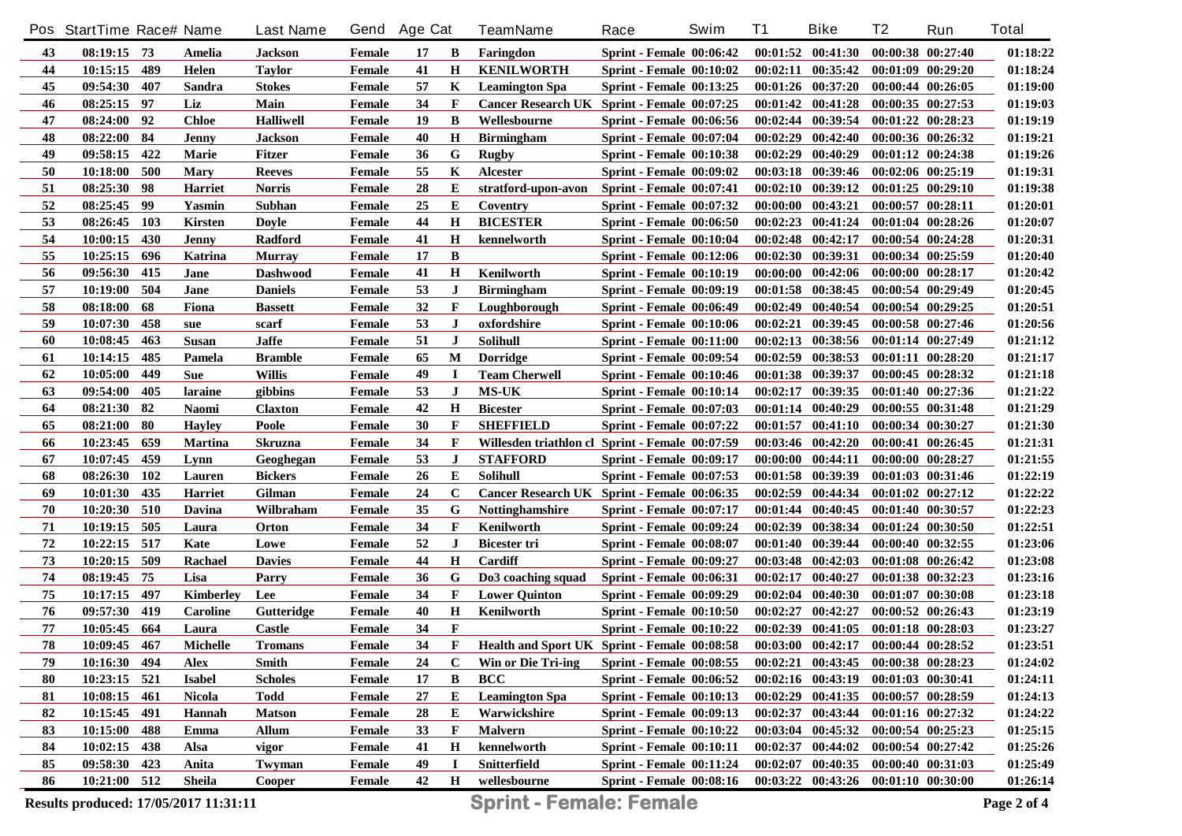|    | Pos StartTime Race# Name              |            |                  | <b>Last Name</b> | Gend   | <b>Age Cat</b> |             | <b>TeamName</b>                                 | Race                            | Swim | <b>T1</b> | <b>Bike</b>                         | T <sub>2</sub>        | Run               | <b>Total</b> |
|----|---------------------------------------|------------|------------------|------------------|--------|----------------|-------------|-------------------------------------------------|---------------------------------|------|-----------|-------------------------------------|-----------------------|-------------------|--------------|
| 43 | $08:19:15$ 73                         |            | Amelia           | <b>Jackson</b>   | Female | 17             | B           | Faringdon                                       | $Sprint - Female_00:06:42$      |      |           | $00:01:52$ $00:41:30$               | 00:00:38 00:27:40     |                   | 01:18:22     |
| 44 | 10:15:15                              | 489        | Helen            | <b>Taylor</b>    | Female | 41             | $\mathbf H$ | <b>KENILWORTH</b>                               | $Sprint - Female_00:10:02$      |      |           | $00:02:11$ $00:35:42$               | $00:01:09$ $00:29:20$ |                   | 01:18:24     |
| 45 | 09:54:30                              | 407        | Sandra           | <b>Stokes</b>    | Female | 57             | K           | <b>Leamington Spa</b>                           | <b>Sprint - Female 00:13:25</b> |      |           | $00:01:26$ $00:37:20$               | $00:00:44$ $00:26:05$ |                   | 01:19:00     |
| 46 | 08:25:15 97                           |            | Liz              | Main             | Female | 34             | F           | Cancer Research UK Sprint - Female 00:07:25     |                                 |      |           | $00:01:42$ $00:41:28$               | $00:00:35$ $00:27:53$ |                   | 01:19:03     |
| 47 | 08:24:00 92                           |            | <b>Chloe</b>     | <b>Halliwell</b> | Female | 19             | B           | Wellesbourne                                    | <b>Sprint - Female 00:06:56</b> |      |           | $00:02:44$ $00:39:54$               | $00:01:22$ $00:28:23$ |                   | 01:19:19     |
| 48 | 08:22:00 84                           |            | <b>Jenny</b>     | <b>Jackson</b>   | Female | 40             | $\mathbf H$ | <b>Birmingham</b>                               | <b>Sprint - Female 00:07:04</b> |      |           | $00:02:29$ $00:42:40$               | 00:00:36 00:26:32     |                   | 01:19:21     |
| 49 | 09:58:15                              | 422        | Marie            | <b>Fitzer</b>    | Female | 36             | G           | <b>Rugby</b>                                    | <b>Sprint - Female 00:10:38</b> |      |           | $00:02:29$ $00:40:29$               | $00:01:12$ $00:24:38$ |                   | 01:19:26     |
| 50 | 10:18:00                              | 500        | <b>Mary</b>      | <b>Reeves</b>    | Female | 55             | K           | Alcester                                        | <b>Sprint - Female 00:09:02</b> |      |           | $00:03:18$ $00:39:46$               | 00:02:06 00:25:19     |                   | 01:19:31     |
| 51 | 08:25:30 98                           |            | <b>Harriet</b>   | <b>Norris</b>    | Female | 28             | E           | stratford-upon-avon                             | <b>Sprint - Female 00:07:41</b> |      |           | $00:02:10$ $00:39:12$               | $00:01:25$ $00:29:10$ |                   | 01:19:38     |
| 52 | 08:25:45                              | - 99       | Yasmin           | Subhan           | Female | 25             | E           | Coventry                                        | <b>Sprint - Female 00:07:32</b> |      |           | $00:00:00$ $00:43:21$               | $00:00:57$ $00:28:11$ |                   | 01:20:01     |
| 53 | 08:26:45                              | 103        | Kirsten          | <b>Doyle</b>     | Female | 44             | $\mathbf H$ | <b>BICESTER</b>                                 | <b>Sprint - Female 00:06:50</b> |      |           | $00:02:23$ $00:41:24$               | 00:01:04 00:28:26     |                   | 01:20:07     |
| 54 | 10:00:15                              | 430        | Jenny            | Radford          | Female | 41             | $\bf H$     | kennelworth                                     | <b>Sprint - Female 00:10:04</b> |      |           | $00:02:48$ $00:42:17$               | $00:00:54$ $00:24:28$ |                   | 01:20:31     |
| 55 | 10:25:15                              | 696        | <b>Katrina</b>   | <b>Murray</b>    | Female | 17             | B           |                                                 | <b>Sprint - Female 00:12:06</b> |      |           | $00:02:30$ $00:39:31$               | 00:00:34 00:25:59     |                   | 01:20:40     |
| 56 | 09:56:30                              | 415        | Jane             | <b>Dashwood</b>  | Female | 41             | $\bf H$     | Kenilworth                                      | <b>Sprint - Female 00:10:19</b> |      |           | $00:00:00$ $00:42:06$               | $00:00:00$ $00:28:17$ |                   | 01:20:42     |
| 57 | 10:19:00                              | 504        | Jane             | <b>Daniels</b>   | Female | 53             | J           | <b>Birmingham</b>                               | <b>Sprint - Female 00:09:19</b> |      |           | $00:01:58$ $00:38:45$               | 00:00:54 00:29:49     |                   | 01:20:45     |
| 58 | 08:18:00                              | 68         | Fiona            | <b>Bassett</b>   | Female | 32             | F           | Loughborough                                    | <b>Sprint - Female 00:06:49</b> |      |           | $00:02:49$ $00:40:54$               | $00:00:54$ $00:29:25$ |                   | 01:20:51     |
| 59 | 10:07:30                              | 458        | sue              | scarf            | Female | 53             | J           | oxfordshire                                     | <b>Sprint - Female 00:10:06</b> |      |           | $00:02:21$ $00:39:45$               | 00:00:58 00:27:46     |                   | 01:20:56     |
| 60 | 10:08:45                              | 463        | <b>Susan</b>     | <b>Jaffe</b>     | Female | 51             | J           | <b>Solihull</b>                                 | <b>Sprint - Female 00:11:00</b> |      |           | $00:02:13$ $00:38:56$               | 00:01:14 00:27:49     |                   | 01:21:12     |
| 61 | 10:14:15                              | 485        | Pamela           | <b>Bramble</b>   | Female | 65             | M           | <b>Dorridge</b>                                 | <b>Sprint - Female 00:09:54</b> |      |           | $00:02:59$ $00:38:53$               | $00:01:11$ $00:28:20$ |                   | 01:21:17     |
| 62 | 10:05:00                              | 449        | <b>Sue</b>       | <b>Willis</b>    | Female | 49             | I           | <b>Team Cherwell</b>                            | Sprint - Female 00:10:46        |      |           | 00:01:38 00:39:37                   | $00:00:45$ $00:28:32$ |                   | 01:21:18     |
| 63 | 09:54:00                              | 405        | laraine          | gibbins          | Female | 53             | $\bf J$     | <b>MS-UK</b>                                    | Sprint - Female 00:10:14        |      | 00:02:17  | 00:39:35                            | $00:01:40$ $00:27:36$ |                   | 01:21:22     |
| 64 | 08:21:30                              | 82         | <b>Naomi</b>     | <b>Claxton</b>   | Female | 42             | $\bf H$     | <b>Bicester</b>                                 | <b>Sprint - Female 00:07:03</b> |      |           | 00:01:14 00:40:29                   | 00:00:55 00:31:48     |                   | 01:21:29     |
| 65 | 08:21:00                              | -80        | <b>Hayley</b>    | Poole            | Female | 30             | F           | <b>SHEFFIELD</b>                                | <b>Sprint - Female 00:07:22</b> |      |           | $00:01:57$ $00:41:10$               | 00:00:34 00:30:27     |                   | 01:21:30     |
| 66 | 10:23:45                              | 659        | <b>Martina</b>   | Skruzna          | Female | 34             | F           | Willesden triathlon cl Sprint - Female 00:07:59 |                                 |      |           | $00:03:46$ $00:42:20$               | $00:00:41$ $00:26:45$ |                   | 01:21:31     |
| 67 | 10:07:45                              | 459        | Lynn             | Geoghegan        | Female | 53             | J           | <b>STAFFORD</b>                                 | <b>Sprint - Female 00:09:17</b> |      |           | $00:00:00$ $00:44:11$               | $00:00:00$ $00:28:27$ |                   | 01:21:55     |
| 68 | 08:26:30                              | <b>102</b> | Lauren           | <b>Bickers</b>   | Female | 26             | E           | <b>Solihull</b>                                 | <b>Sprint - Female 00:07:53</b> |      |           | 00:01:58 00:39:39                   | $00:01:03$ $00:31:46$ |                   | 01:22:19     |
| 69 | 10:01:30                              | 435        | <b>Harriet</b>   | Gilman           | Female | 24             | $\mathbf C$ | Cancer Research UK Sprint - Female 00:06:35     |                                 |      |           | 00:02:59 00:44:34                   | $00:01:02$ $00:27:12$ |                   | 01:22:22     |
| 70 | 10:20:30                              | 510        | Davina           | Wilbraham        | Female | 35             | G           | <b>Nottinghamshire</b>                          | <b>Sprint - Female 00:07:17</b> |      |           | $00:01:44$ $00:40:45$               | $00:01:40$ $00:30:57$ |                   | 01:22:23     |
| 71 | 10:19:15                              | 505        | Laura            | Orton            | Female | 34             | F           | Kenilworth                                      | <b>Sprint - Female 00:09:24</b> |      |           | 00:02:39 00:38:34                   |                       | 00:01:24 00:30:50 | 01:22:51     |
| 72 | 10:22:15                              | 517        | Kate             | Lowe             | Female | 52             | J           | Bicester tri                                    | <b>Sprint - Female 00:08:07</b> |      |           | $00:01:40$ $00:39:44$               | $00:00:40$ $00:32:55$ |                   | 01:23:06     |
| 73 | 10:20:15                              | - 509      | Rachael          | <b>Davies</b>    | Female | 44             | Н           | Cardiff                                         | <b>Sprint - Female 00:09:27</b> |      |           | $00:03:48$ $00:42:03$               | $00:01:08$ $00:26:42$ |                   | 01:23:08     |
| 74 | 08:19:45                              | 75         | Lisa             | Parry            | Female | 36             | G           | Do3 coaching squad                              | <b>Sprint - Female 00:06:31</b> |      | 00:02:17  | 00:40:27                            |                       | 00:01:38 00:32:23 | 01:23:16     |
| 75 | 10:17:15                              | 497        | <b>Kimberlev</b> | Lee              | Female | 34             | F           | <b>Lower Quinton</b>                            | <b>Sprint - Female 00:09:29</b> |      |           | $00:02:04$ $00:40:30$               | 00:01:07 00:30:08     |                   | 01:23:18     |
| 76 | 09:57:30                              | 419        | <b>Caroline</b>  | Gutteridge       | Female | 40             | $\mathbf H$ | Kenilworth                                      | <b>Sprint - Female 00:10:50</b> |      | 00:02:27  | 00:42:27                            |                       | 00:00:52 00:26:43 | 01:23:19     |
| 77 | 10:05:45                              | 664        | Laura            | <b>Castle</b>    | Female | 34             | F           |                                                 | <b>Sprint - Female 00:10:22</b> |      |           | $00:02:39$ $00:41:05$               | $00:01:18$ $00:28:03$ |                   | 01:23:27     |
| 78 | 10:09:45                              | 467        | <b>Michelle</b>  | <b>Tromans</b>   | Female | 34             | F           | Health and Sport UK Sprint - Female 00:08:58    |                                 |      |           | $00:03:00$ $00:42:17$               | 00:00:44 00:28:52     |                   | 01:23:51     |
| 79 | 10:16:30 494                          |            | Alex             | Smith            | Female | 24             | $\mathbf c$ | <b>Win or Die Tri-ing</b>                       | <b>Sprint - Female 00:08:55</b> |      |           | 00:02:21 00:43:45 00:00:38 00:28:23 |                       |                   | 01:24:02     |
| 80 | 10:23:15                              | 521        | <b>Isabel</b>    | <b>Scholes</b>   | Female | 17             | B           | <b>BCC</b>                                      | <b>Sprint - Female 00:06:52</b> |      |           | $00:02:16$ $00:43:19$               | 00:01:03 00:30:41     |                   | 01:24:11     |
| 81 | 10:08:15                              | 461        | <b>Nicola</b>    | <b>Todd</b>      | Female | 27             | E           | <b>Leamington Spa</b>                           | <b>Sprint - Female 00:10:13</b> |      |           | $00:02:29$ $00:41:35$               | 00:00:57 00:28:59     |                   | 01:24:13     |
| 82 | 10:15:45                              | 491        | Hannah           | <b>Matson</b>    | Female | 28             | E           | Warwickshire                                    | <b>Sprint - Female 00:09:13</b> |      |           | $00:02:37$ $00:43:44$               | 00:01:16 00:27:32     |                   | 01:24:22     |
| 83 | 10:15:00                              | 488        | Emma             | <b>Allum</b>     | Female | 33             | F           | <b>Malvern</b>                                  | Sprint - Female 00:10:22        |      |           | $00:03:04$ $00:45:32$               | $00:00:54$ $00:25:23$ |                   | 01:25:15     |
| 84 | 10:02:15                              | 438        | Alsa             | vigor            | Female | 41             | H           | kennelworth                                     | <b>Sprint - Female 00:10:11</b> |      |           | $00:02:37$ $00:44:02$               | $00:00:54$ $00:27:42$ |                   | 01:25:26     |
| 85 | 09:58:30                              | 423        | Anita            | Twyman           | Female | 49             |             | Snitterfield                                    | <b>Sprint - Female 00:11:24</b> |      |           | $00:02:07$ $00:40:35$               | 00:00:40 00:31:03     |                   | 01:25:49     |
| 86 | 10:21:00 512                          |            | Sheila           | Cooper           | Female | 42             | $\mathbf H$ | wellesbourne                                    | <b>Sprint - Female 00:08:16</b> |      |           | 00:03:22 00:43:26 00:01:10 00:30:00 |                       |                   | 01:26:14     |
|    | Results produced: 17/05/2017 11:31:11 |            |                  |                  |        |                |             | <b>Sprint - Female: Female</b>                  |                                 |      |           |                                     |                       |                   | Page 2 of 4  |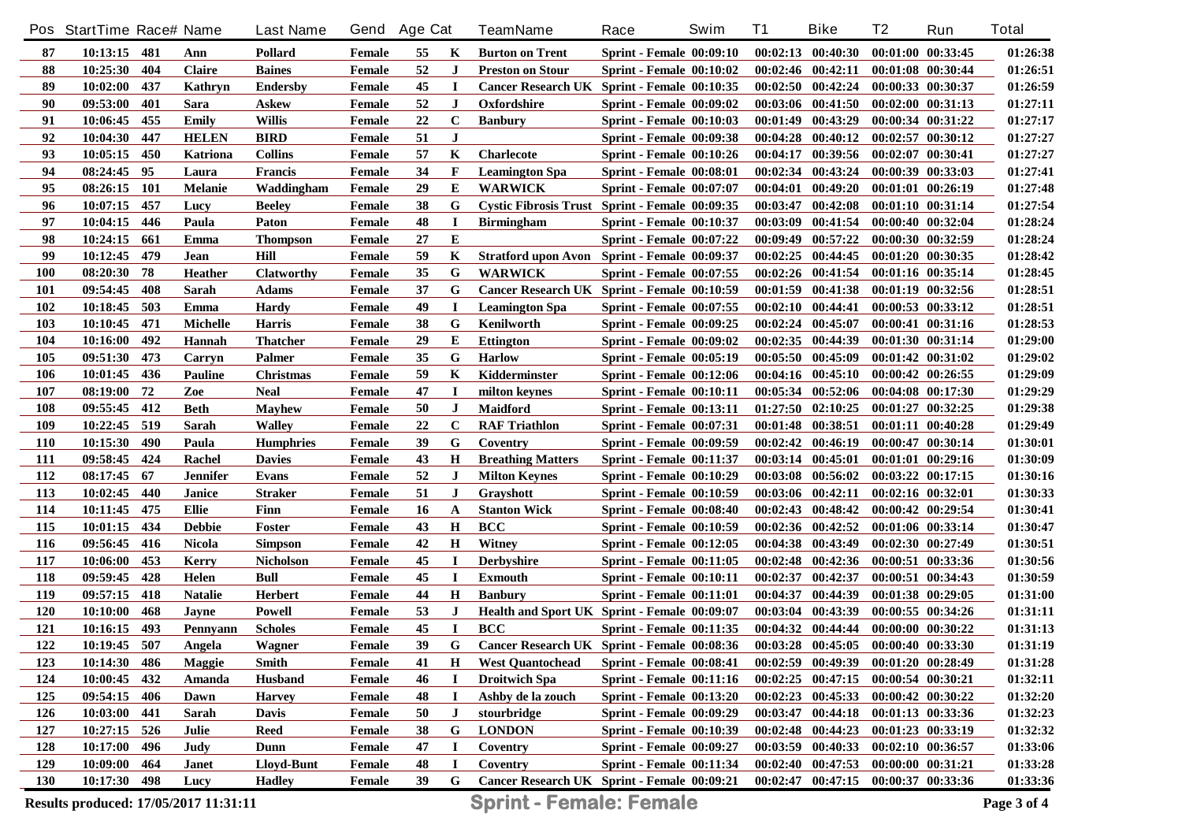|            | Pos StartTime Race# Name              |     |                | <b>Last Name</b>  | Gend   | <b>Age Cat</b> |             | <b>TeamName</b>                                | Race                            | Swim | <b>T1</b> | <b>Bike</b>                         | T <sub>2</sub>        | Run               | <b>Total</b> |
|------------|---------------------------------------|-----|----------------|-------------------|--------|----------------|-------------|------------------------------------------------|---------------------------------|------|-----------|-------------------------------------|-----------------------|-------------------|--------------|
| 87         | $10:13:15$ 481                        |     | Ann            | Pollard           | Female | 55             | K           | <b>Burton on Trent</b>                         | <b>Sprint - Female 00:09:10</b> |      |           | $00:02:13$ $00:40:30$               | 00:01:00 00:33:45     |                   | 01:26:38     |
| 88         | 10:25:30                              | 404 | <b>Claire</b>  | <b>Baines</b>     | Female | 52             | $\bf J$     | <b>Preston on Stour</b>                        | <b>Sprint - Female 00:10:02</b> |      |           | $00:02:46$ $00:42:11$               | 00:01:08 00:30:44     |                   | 01:26:51     |
| 89         | 10:02:00                              | 437 | Kathryn        | <b>Endersby</b>   | Female | 45             | $\mathbf I$ | Cancer Research UK Sprint - Female 00:10:35    |                                 |      |           | $00:02:50$ $00:42:24$               | 00:00:33 00:30:37     |                   | 01:26:59     |
| 90         | 09:53:00                              | 401 | Sara           | Askew             | Female | 52             | $\bf J$     | Oxfordshire                                    | <b>Sprint - Female 00:09:02</b> |      |           | $00:03:06$ $00:41:50$               | $00:02:00$ $00:31:13$ |                   | 01:27:11     |
| 91         | 10:06:45                              | 455 | <b>Emily</b>   | <b>Willis</b>     | Female | 22             | $\mathbf C$ | <b>Banbury</b>                                 | <b>Sprint - Female 00:10:03</b> |      |           | $00:01:49$ $00:43:29$               | 00:00:34 00:31:22     |                   | 01:27:17     |
| 92         | 10:04:30                              | 447 | <b>HELEN</b>   | <b>BIRD</b>       | Female | 51             | J           |                                                | <b>Sprint - Female 00:09:38</b> |      |           | $00:04:28$ $00:40:12$               | $00:02:57$ $00:30:12$ |                   | 01:27:27     |
| 93         | 10:05:15                              | 450 | Katriona       | <b>Collins</b>    | Female | 57             | K           | <b>Charlecote</b>                              | Sprint - Female 00:10:26        |      |           | $00:04:17$ $00:39:56$               | $00:02:07$ $00:30:41$ |                   | 01:27:27     |
| 94         | 08:24:45                              | 95  | Laura          | <b>Francis</b>    | Female | 34             | F           | <b>Leamington Spa</b>                          | <b>Sprint - Female 00:08:01</b> |      |           | $00:02:34$ $00:43:24$               | 00:00:39 00:33:03     |                   | 01:27:41     |
| 95         | 08:26:15                              | 101 | <b>Melanie</b> | Waddingham        | Female | 29             | E           | <b>WARWICK</b>                                 | <b>Sprint - Female 00:07:07</b> |      |           | $00:04:01$ $00:49:20$               | $00:01:01$ $00:26:19$ |                   | 01:27:48     |
| 96         | 10:07:15                              | 457 | Lucy           | <b>Beeley</b>     | Female | 38             | G           | Cystic Fibrosis Trust Sprint - Female 00:09:35 |                                 |      |           | $00:03:47$ $00:42:08$               | $00:01:10$ $00:31:14$ |                   | 01:27:54     |
| 97         | 10:04:15                              | 446 | Paula          | Paton             | Female | 48             | $\bf I$     | <b>Birmingham</b>                              | <b>Sprint - Female 00:10:37</b> |      |           | $00:03:09$ $00:41:54$               | 00:00:40 00:32:04     |                   | 01:28:24     |
| 98         | 10:24:15                              | 661 | Emma           | <b>Thompson</b>   | Female | 27             | E           |                                                | <b>Sprint - Female 00:07:22</b> |      |           | $00:09:49$ $00:57:22$               | 00:00:30 00:32:59     |                   | 01:28:24     |
| 99         | 10:12:45                              | 479 | Jean           | Hill              | Female | 59             | K           | Stratford upon Avon Sprint - Female 00:09:37   |                                 |      |           | $00:02:25$ $00:44:45$               | 00:01:20 00:30:35     |                   | 01:28:42     |
| <b>100</b> | 08:20:30                              | 78  | <b>Heather</b> | <b>Clatworthy</b> | Female | 35             | G           | <b>WARWICK</b>                                 | <b>Sprint - Female 00:07:55</b> |      |           | $00:02:26$ $00:41:54$               | $00:01:16$ $00:35:14$ |                   | 01:28:45     |
| <b>101</b> | 09:54:45                              | 408 | Sarah          | <b>Adams</b>      | Female | 37             | G           | Cancer Research UK Sprint - Female 00:10:59    |                                 |      |           | $00:01:59$ $00:41:38$               | $00:01:19$ $00:32:56$ |                   | 01:28:51     |
| 102        | 10:18:45                              | 503 | Emma           | <b>Hardy</b>      | Female | 49             | $\bf I$     | <b>Leamington Spa</b>                          | <b>Sprint - Female 00:07:55</b> |      |           | $00:02:10$ $00:44:41$               | $00:00:53$ $00:33:12$ |                   | 01:28:51     |
| 103        | 10:10:45                              | 471 | Michelle       | Harris            | Female | 38             | G           | Kenilworth                                     | <b>Sprint - Female 00:09:25</b> |      |           | $00:02:24$ $00:45:07$               | 00:00:41 00:31:16     |                   | 01:28:53     |
| 104        | 10:16:00                              | 492 | <b>Hannah</b>  | Thatcher          | Female | 29             | E           | <b>Ettington</b>                               | <b>Sprint - Female 00:09:02</b> |      |           | $00:02:35$ $00:44:39$               | 00:01:30 00:31:14     |                   | 01:29:00     |
| 105        | 09:51:30                              | 473 | Carryn         | Palmer            | Female | 35             | G           | <b>Harlow</b>                                  | <b>Sprint - Female 00:05:19</b> |      |           | 00:05:50 00:45:09                   |                       | 00:01:42 00:31:02 | 01:29:02     |
| 106        | 10:01:45                              | 436 | Pauline        | Christmas         | Female | 59             | K           | Kidderminster                                  | <b>Sprint - Female 00:12:06</b> |      |           | $00:04:16$ $00:45:10$               | $00:00:42$ $00:26:55$ |                   | 01:29:09     |
| 107        | 08:19:00                              | 72  | Zoe            | <b>Neal</b>       | Female | 47             | I           | milton keynes                                  | Sprint - Female 00:10:11        |      |           | 00:05:34 00:52:06                   | $00:04:08$ $00:17:30$ |                   | 01:29:29     |
| 108        | 09:55:45                              | 412 | <b>Beth</b>    | <b>Mayhew</b>     | Female | 50             | J           | Maidford                                       | <b>Sprint - Female 00:13:11</b> |      |           | $01:27:50$ $02:10:25$               | 00:01:27 00:32:25     |                   | 01:29:38     |
| 109        | 10:22:45                              | 519 | Sarah          | <b>Walley</b>     | Female | 22             | $\bf C$     | <b>RAF Triathlon</b>                           | <b>Sprint - Female 00:07:31</b> |      |           | 00:01:48 00:38:51                   | 00:01:11 00:40:28     |                   | 01:29:49     |
| <b>110</b> | 10:15:30                              | 490 | Paula          | <b>Humphries</b>  | Female | 39             | G           | Coventry                                       | <b>Sprint - Female 00:09:59</b> |      |           | 00:02:42 00:46:19                   | 00:00:47 00:30:14     |                   | 01:30:01     |
| <b>111</b> | 09:58:45                              | 424 | Rachel         | <b>Davies</b>     | Female | 43             | $\bf H$     | <b>Breathing Matters</b>                       | <b>Sprint - Female 00:11:37</b> |      |           | 00:03:14 00:45:01                   | $00:01:01$ $00:29:16$ |                   | 01:30:09     |
| 112        | 08:17:45                              | 67  | Jennifer       | Evans             | Female | 52             | J           | <b>Milton Keynes</b>                           | <b>Sprint - Female 00:10:29</b> |      |           | 00:03:08 00:56:02                   |                       | 00:03:22 00:17:15 | 01:30:16     |
| 113        | 10:02:45                              | 440 | Janice         | <b>Straker</b>    | Female | 51             | J           | Grayshott                                      | <b>Sprint - Female 00:10:59</b> |      |           | 00:03:06 00:42:11                   | $00:02:16$ $00:32:01$ |                   | 01:30:33     |
| 114        | 10:11:45                              | 475 | <b>Ellie</b>   | Finn              | Female | 16             | A           | <b>Stanton Wick</b>                            | <b>Sprint - Female 00:08:40</b> |      |           | $00:02:43$ $00:48:42$               | 00:00:42 00:29:54     |                   | 01:30:41     |
| 115        | 10:01:15                              | 434 | <b>Debbie</b>  | Foster            | Female | 43             | $\bf H$     | <b>BCC</b>                                     | <b>Sprint - Female 00:10:59</b> |      |           | $00:02:36$ $00:42:52$               |                       | 00:01:06 00:33:14 | 01:30:47     |
| 116        | 09:56:45                              | 416 | <b>Nicola</b>  | <b>Simpson</b>    | Female | 42             | $\bf H$     | Witney                                         | <b>Sprint - Female 00:12:05</b> |      |           | $00:04:38$ $00:43:49$               | $00:02:30$ $00:27:49$ |                   | 01:30:51     |
| 117        | 10:06:00                              | 453 | <b>Kerry</b>   | <b>Nicholson</b>  | Female | 45             | I           | <b>Derbyshire</b>                              | <b>Sprint - Female 00:11:05</b> |      |           | $00:02:48$ $00:42:36$               | 00:00:51 00:33:36     |                   | 01:30:56     |
| 118        | 09:59:45                              | 428 | Helen          | <b>Bull</b>       | Female | 45             | I           | <b>Exmouth</b>                                 | <b>Sprint - Female 00:10:11</b> |      | 00:02:37  | 00:42:37                            |                       | 00:00:51 00:34:43 | 01:30:59     |
| 119        | 09:57:15                              | 418 | <b>Natalie</b> | <b>Herbert</b>    | Female | 44             | $\bf H$     | <b>Banbury</b>                                 | <b>Sprint - Female 00:11:01</b> |      | 00:04:37  | 00:44:39                            | 00:01:38 00:29:05     |                   | 01:31:00     |
| 120        | 10:10:00                              | 468 | Jayne          | Powell            | Female | 53             | $\bf J$     | Health and Sport UK Sprint - Female 00:09:07   |                                 |      |           | 00:03:04 00:43:39                   |                       | 00:00:55 00:34:26 | 01:31:11     |
| 121        | 10:16:15                              | 493 | Pennyann       | <b>Scholes</b>    | Female | 45             | $\bf{I}$    | <b>BCC</b>                                     | <b>Sprint - Female 00:11:35</b> |      |           | $00:04:32$ $00:44:44$               | 00:00:00 00:30:22     |                   | 01:31:13     |
| 122        | 10:19:45                              | 507 | Angela         | Wagner            | Female | 39             | G           | Cancer Research UK Sprint - Female 00:08:36    |                                 |      |           | $00:03:28$ $00:45:05$               | 00:00:40 00:33:30     |                   | 01:31:19     |
| 123        | 10:14:30 486                          |     | <b>Maggie</b>  | Smith             | Female | 41             | H           | <b>West Quantochead</b>                        | <b>Sprint - Female 00:08:41</b> |      |           | 00:02:59 00:49:39 00:01:20 00:28:49 |                       |                   | 01:31:28     |
| 124        | 10:00:45                              | 432 | Amanda         | <b>Husband</b>    | Female | 46             |             | <b>Droitwich Spa</b>                           | <b>Sprint - Female 00:11:16</b> |      |           | $00:02:25$ $00:47:15$               | 00:00:54 00:30:21     |                   | 01:32:11     |
| 125        | 09:54:15                              | 406 | Dawn           | <b>Harvey</b>     | Female | 48             |             | Ashby de la zouch                              | <b>Sprint - Female 00:13:20</b> |      |           | $00:02:23$ $00:45:33$               | 00:00:42 00:30:22     |                   | 01:32:20     |
| 126        | 10:03:00                              | 441 | Sarah          | <b>Davis</b>      | Female | 50             | J           | stourbridge                                    | <b>Sprint - Female 00:09:29</b> |      |           | $00:03:47$ $00:44:18$               | 00:01:13 00:33:36     |                   | 01:32:23     |
| 127        | 10:27:15                              | 526 | Julie          | <b>Reed</b>       | Female | 38             | G           | <b>LONDON</b>                                  | <b>Sprint - Female 00:10:39</b> |      |           | $00:02:48$ $00:44:23$               | 00:01:23 00:33:19     |                   | 01:32:32     |
| 128        | 10:17:00                              | 496 | Judy           | Dunn              | Female | 47             |             | Coventry                                       | <b>Sprint - Female 00:09:27</b> |      |           | 00:03:59 00:40:33                   | 00:02:10 00:36:57     |                   | 01:33:06     |
| 129        | 10:09:00                              | 464 | Janet          | Lloyd-Bunt        | Female | 48             |             | Coventry                                       | <b>Sprint - Female 00:11:34</b> |      |           | $00:02:40$ $00:47:53$               | 00:00:00 00:31:21     |                   | 01:33:28     |
| <b>130</b> | 10:17:30 498                          |     | Lucy           | <b>Hadley</b>     | Female | 39             | G           | Cancer Research UK Sprint - Female 00:09:21    |                                 |      |           | 00:02:47 00:47:15 00:00:37 00:33:36 |                       |                   | 01:33:36     |
|            | Results produced: 17/05/2017 11:31:11 |     |                |                   |        |                |             | <b>Sprint - Female: Female</b>                 |                                 |      |           |                                     |                       |                   | Page 3 of 4  |